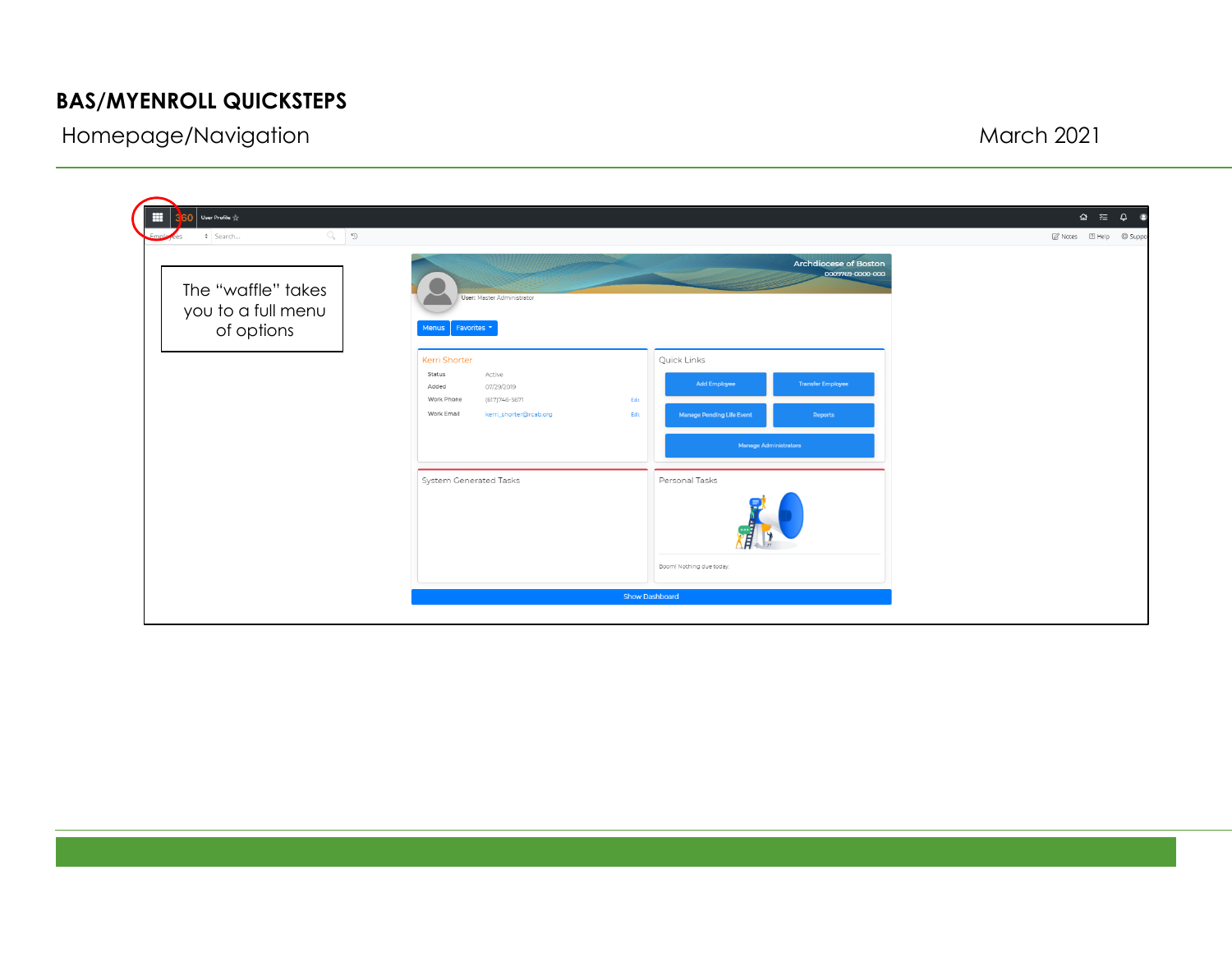## **BAS/MYENROLL QUICKSTEPS**

Homepage/Navigation and the state of the state of the March 2021 March 2021

| Ħ<br>User Profile 17<br>$Q_2$   $D_3$<br>+ Search      |                                                                                                                                                                                                                                                                                                          | $\begin{array}{rcl} \Omega & \equiv & \mathbb{Q} & \mathbb{Q} \end{array}$<br>7 Notes 2 Help @ Suppor |
|--------------------------------------------------------|----------------------------------------------------------------------------------------------------------------------------------------------------------------------------------------------------------------------------------------------------------------------------------------------------------|-------------------------------------------------------------------------------------------------------|
| The "waffle" takes<br>you to a full menu<br>of options | <b>Archdiocese of Boston</b><br>0009769-0000-000<br>User: Master Administrator<br>Favorites -<br><b>Menus</b>                                                                                                                                                                                            |                                                                                                       |
|                                                        | <b>Kerri Shorter</b><br>Quick Links<br>Status<br>Active<br><b>Add Employee</b><br><b>Transfer Employee</b><br>07/29/2019<br>Added<br>Work Phone<br>(617) 746-5671<br>Edit<br>Work Email<br>kerri_shorter@rcab.org<br><b>Manage Pending Life Event</b><br>Edit<br>Reports<br><b>Manage Administrators</b> |                                                                                                       |
|                                                        | System Generated Tasks<br>Personal Tasks<br>Boom! Nothing due today.                                                                                                                                                                                                                                     |                                                                                                       |
|                                                        | Show Dashboard                                                                                                                                                                                                                                                                                           |                                                                                                       |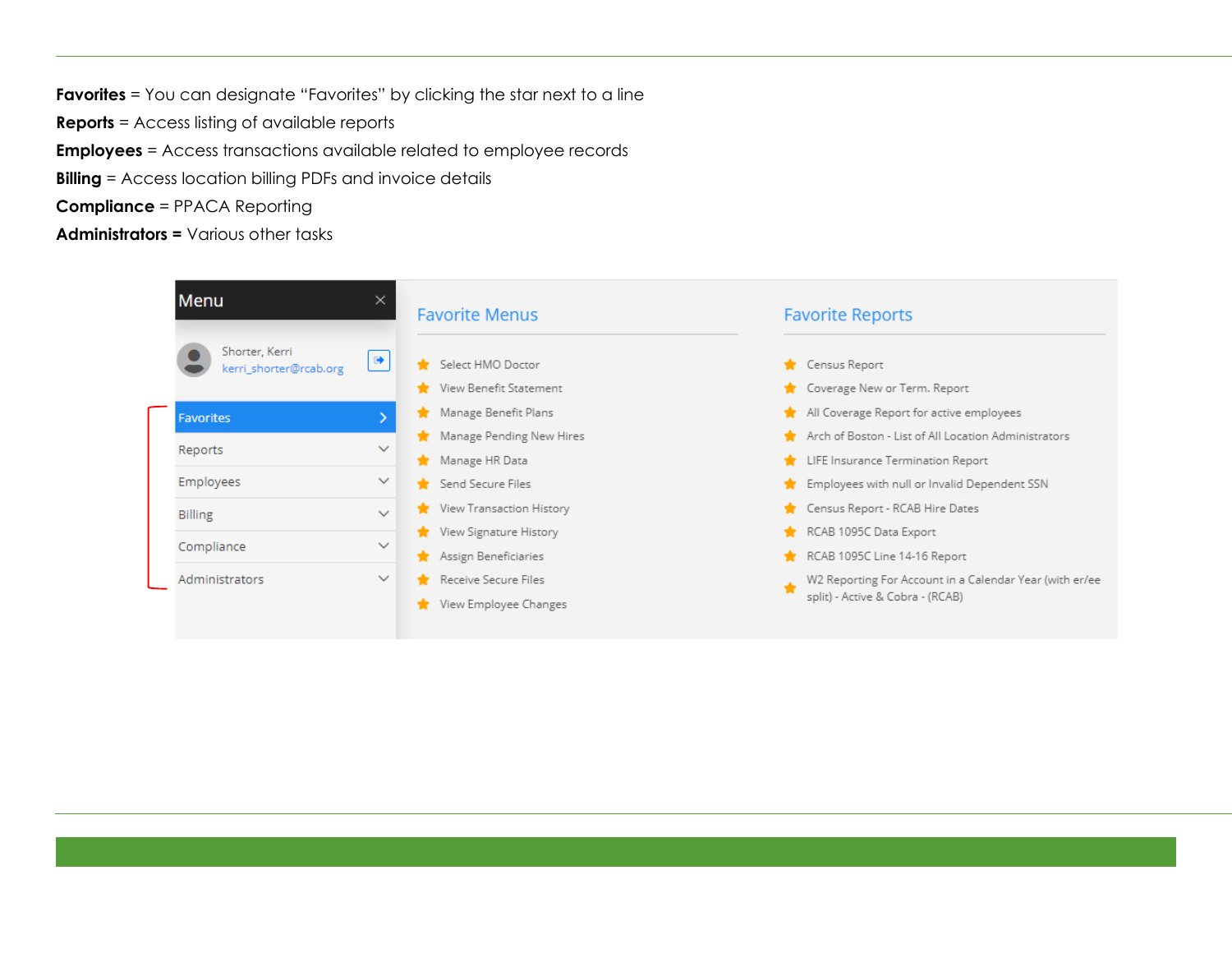**Favorites** = You can designate "Favorites" by clicking the star next to a line **Reports** = Access listing of available reports **Employees** = Access transactions available related to employee records **Billing** = Access location billing PDFs and invoice details

**Compliance** = PPACA Reporting

**Administrators =** Various other tasks

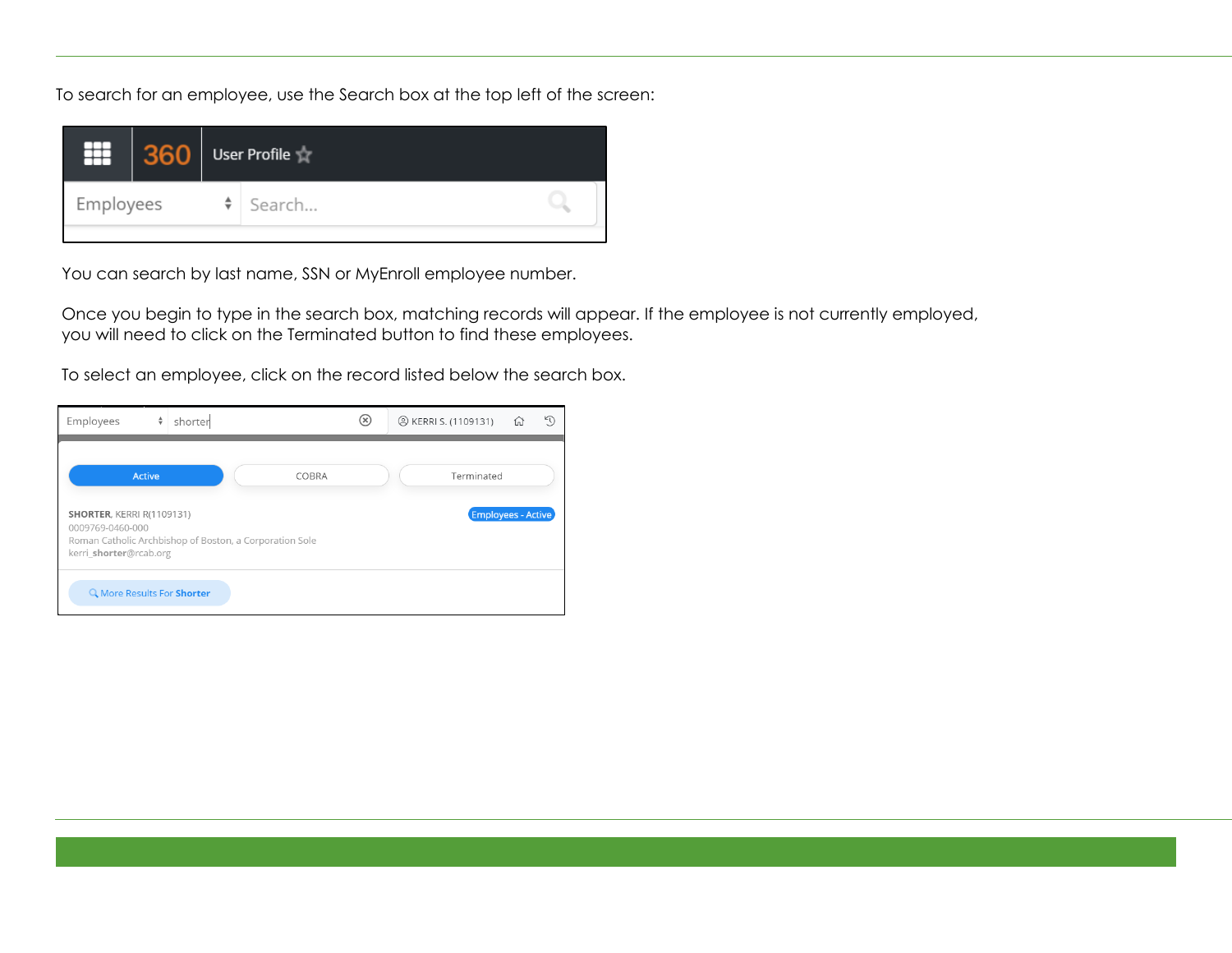To search for an employee, use the Search box at the top left of the screen:



You can search by last name, SSN or MyEnroll employee number.

Once you begin to type in the search box, matching records will appear. If the employee is not currently employed, you will need to click on the Terminated button to find these employees.

To select an employee, click on the record listed below the search box.

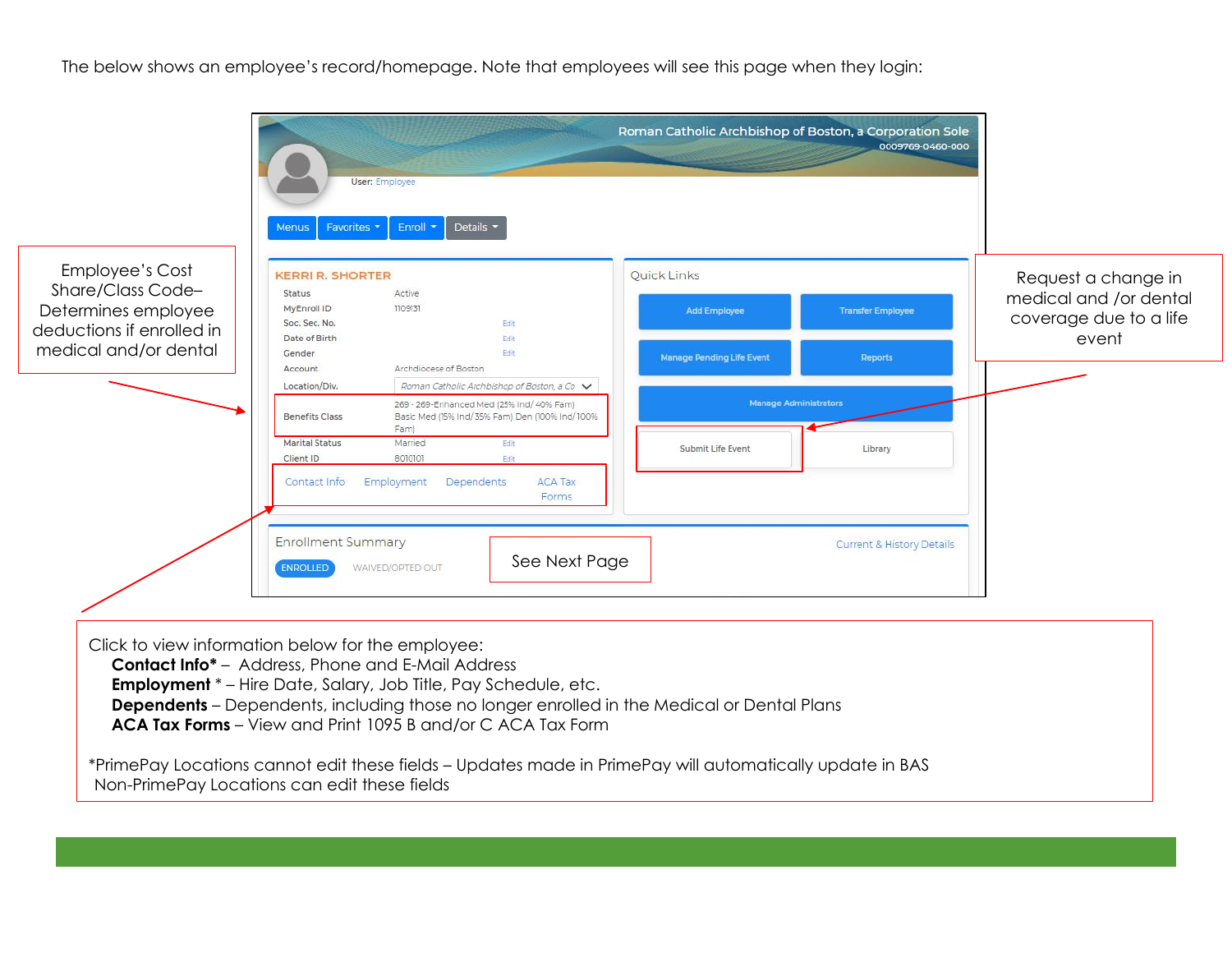The below shows an employee's record/homepage. Note that employees will see this page when they login: